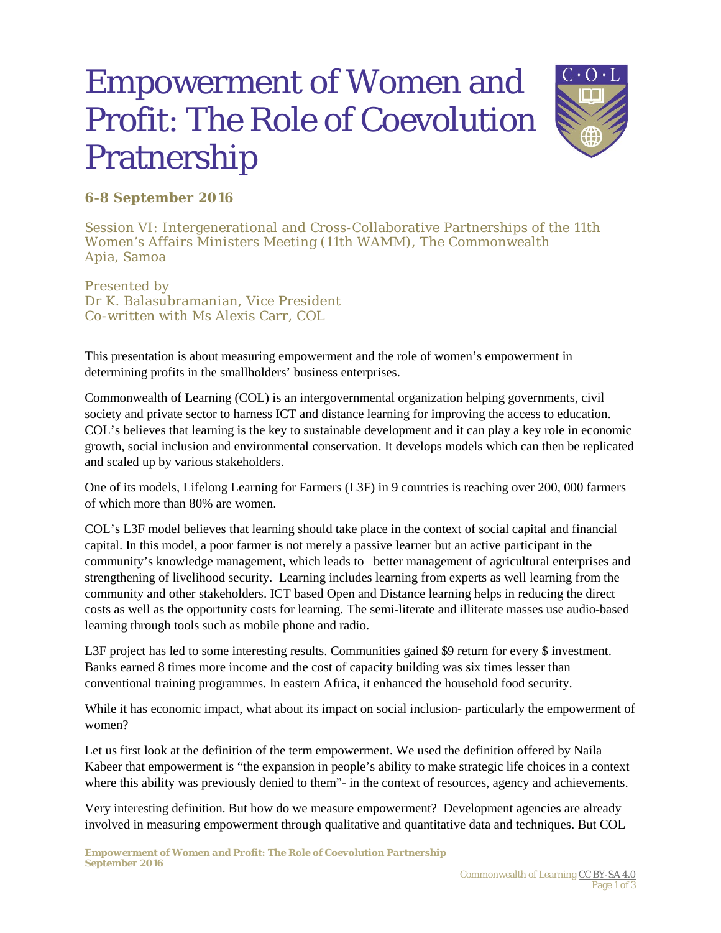## Empowerment of Women and Profit: The Role of Coevolution Pratnership



## **6-8 September 2016**

Session VI: Intergenerational and Cross-Collaborative Partnerships of the 11th Women's Affairs Ministers Meeting (11th WAMM), The Commonwealth Apia, Samoa

Presented by Dr K. Balasubramanian, Vice President Co-written with Ms Alexis Carr, COL

This presentation is about measuring empowerment and the role of women's empowerment in determining profits in the smallholders' business enterprises.

Commonwealth of Learning (COL) is an intergovernmental organization helping governments, civil society and private sector to harness ICT and distance learning for improving the access to education. COL's believes that learning is the key to sustainable development and it can play a key role in economic growth, social inclusion and environmental conservation. It develops models which can then be replicated and scaled up by various stakeholders.

One of its models, Lifelong Learning for Farmers (L3F) in 9 countries is reaching over 200, 000 farmers of which more than 80% are women.

COL's L3F model believes that learning should take place in the context of social capital and financial capital. In this model, a poor farmer is not merely a passive learner but an active participant in the community's knowledge management, which leads to better management of agricultural enterprises and strengthening of livelihood security. Learning includes learning from experts as well learning from the community and other stakeholders. ICT based Open and Distance learning helps in reducing the direct costs as well as the opportunity costs for learning. The semi-literate and illiterate masses use audio-based learning through tools such as mobile phone and radio.

L3F project has led to some interesting results. Communities gained \$9 return for every \$ investment. Banks earned 8 times more income and the cost of capacity building was six times lesser than conventional training programmes. In eastern Africa, it enhanced the household food security.

While it has economic impact, what about its impact on social inclusion- particularly the empowerment of women?

Let us first look at the definition of the term empowerment. We used the definition offered by Naila Kabeer that empowerment is "the expansion in people's ability to make strategic life choices in a context where this ability was previously denied to them"- in the context of resources, agency and achievements.

Very interesting definition. But how do we measure empowerment? Development agencies are already involved in measuring empowerment through qualitative and quantitative data and techniques. But COL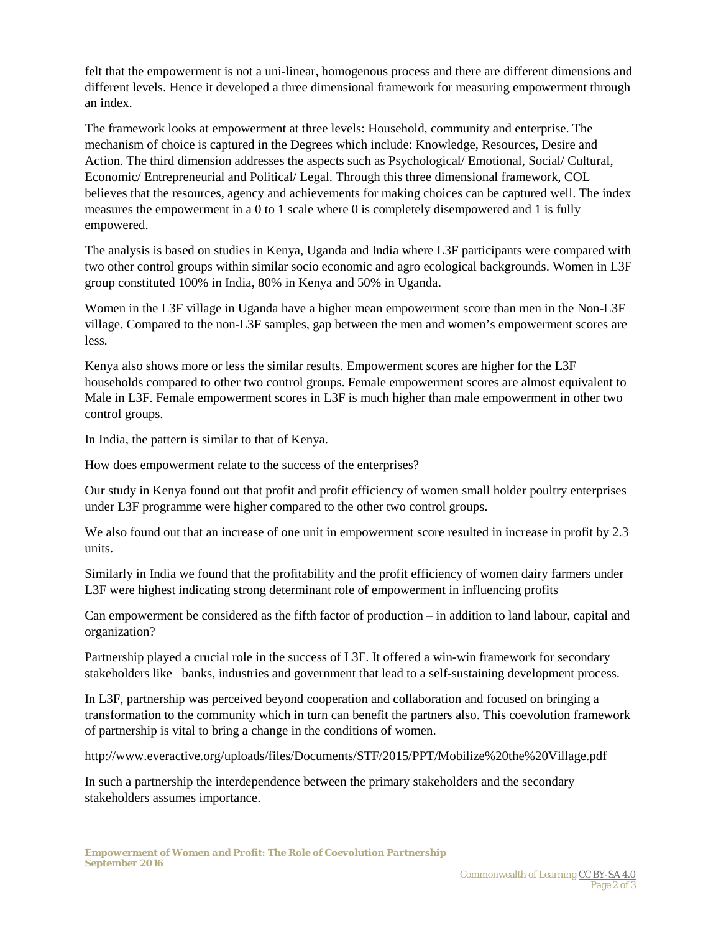felt that the empowerment is not a uni-linear, homogenous process and there are different dimensions and different levels. Hence it developed a three dimensional framework for measuring empowerment through an index.

The framework looks at empowerment at three levels: Household, community and enterprise. The mechanism of choice is captured in the Degrees which include: Knowledge, Resources, Desire and Action. The third dimension addresses the aspects such as Psychological/ Emotional, Social/ Cultural, Economic/ Entrepreneurial and Political/ Legal. Through this three dimensional framework, COL believes that the resources, agency and achievements for making choices can be captured well. The index measures the empowerment in a 0 to 1 scale where 0 is completely disempowered and 1 is fully empowered.

The analysis is based on studies in Kenya, Uganda and India where L3F participants were compared with two other control groups within similar socio economic and agro ecological backgrounds. Women in L3F group constituted 100% in India, 80% in Kenya and 50% in Uganda.

Women in the L3F village in Uganda have a higher mean empowerment score than men in the Non-L3F village. Compared to the non-L3F samples, gap between the men and women's empowerment scores are less.

Kenya also shows more or less the similar results. Empowerment scores are higher for the L3F households compared to other two control groups. Female empowerment scores are almost equivalent to Male in L3F. Female empowerment scores in L3F is much higher than male empowerment in other two control groups.

In India, the pattern is similar to that of Kenya.

How does empowerment relate to the success of the enterprises?

Our study in Kenya found out that profit and profit efficiency of women small holder poultry enterprises under L3F programme were higher compared to the other two control groups.

We also found out that an increase of one unit in empowerment score resulted in increase in profit by 2.3 units.

Similarly in India we found that the profitability and the profit efficiency of women dairy farmers under L3F were highest indicating strong determinant role of empowerment in influencing profits

Can empowerment be considered as the fifth factor of production – in addition to land labour, capital and organization?

Partnership played a crucial role in the success of L3F. It offered a win-win framework for secondary stakeholders like banks, industries and government that lead to a self-sustaining development process.

In L3F, partnership was perceived beyond cooperation and collaboration and focused on bringing a transformation to the community which in turn can benefit the partners also. This coevolution framework of partnership is vital to bring a change in the conditions of women.

http://www.everactive.org/uploads/files/Documents/STF/2015/PPT/Mobilize%20the%20Village.pdf

In such a partnership the interdependence between the primary stakeholders and the secondary stakeholders assumes importance.

*Empowerment of Women and Profit: The Role of Coevolution Partnership September 2016*